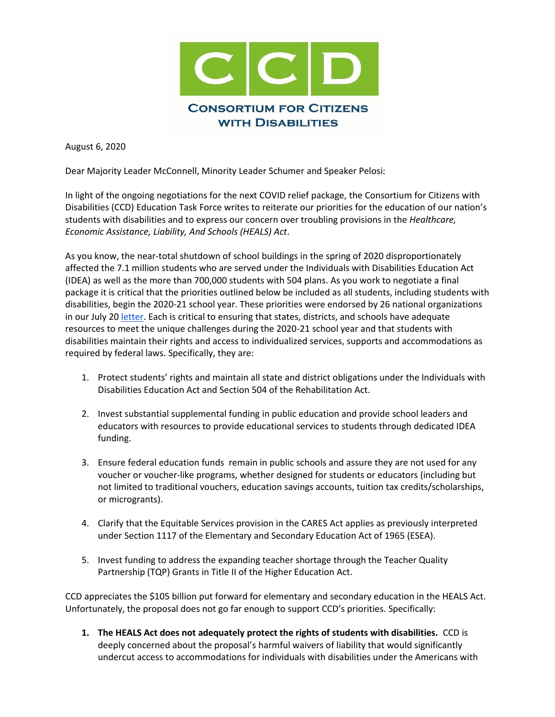

August 6, 2020

Dear Majority Leader McConnell, Minority Leader Schumer and Speaker Pelosi:

In light of the ongoing negotiations for the next COVID relief package, the Consortium for Citizens with Disabilities (CCD) Education Task Force writes to reiterate our priorities for the education of our nation's students with disabilities and to express our concern over troubling provisions in the *Healthcare, Economic Assistance, Liability, And Schools (HEALS) Act*.

As you know, the near-total shutdown of school buildings in the spring of 2020 disproportionately affected the 7.1 million students who are served under the Individuals with Disabilities Education Act (IDEA) as well as the more than 700,000 students with 504 plans. As you work to negotiate a final package it is critical that the priorities outlined below be included as all students, including students with disabilities, begin the 2020-21 school year. These priorities were endorsed by 26 national organizations in our July 2[0 letter.](http://www.c-c-d.org/fichiers/CCD-Ed-TF-letter-to-Senate-on-C4-07-20-20.pdf) Each is critical to ensuring that states, districts, and schools have adequate resources to meet the unique challenges during the 2020-21 school year and that students with disabilities maintain their rights and access to individualized services, supports and accommodations as required by federal laws. Specifically, they are:

- 1. Protect students' rights and maintain all state and district obligations under the Individuals with Disabilities Education Act and Section 504 of the Rehabilitation Act.
- 2. Invest substantial supplemental funding in public education and provide school leaders and educators with resources to provide educational services to students through dedicated IDEA funding.
- 3. Ensure federal education funds remain in public schools and assure they are not used for any voucher or voucher-like programs, whether designed for students or educators (including but not limited to traditional vouchers, education savings accounts, tuition tax credits/scholarships, or microgrants).
- 4. Clarify that the Equitable Services provision in the CARES Act applies as previously interpreted under Section 1117 of the Elementary and Secondary Education Act of 1965 (ESEA).
- 5. Invest funding to address the expanding teacher shortage through the Teacher Quality Partnership (TQP) Grants in Title II of the Higher Education Act.

CCD appreciates the \$105 billion put forward for elementary and secondary education in the HEALS Act. Unfortunately, the proposal does not go far enough to support CCD's priorities. Specifically:

**1. The HEALS Act does not adequately protect the rights of students with disabilities.** CCD is deeply concerned about the proposal's harmful waivers of liability that would significantly undercut access to accommodations for individuals with disabilities under the Americans with